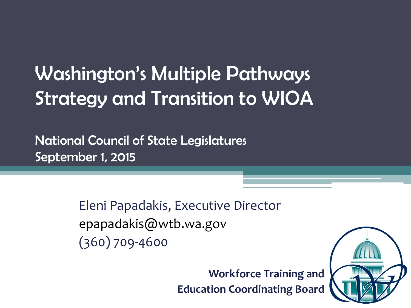# Washington's Multiple Pathways Strategy and Transition to WIOA

National Council of State Legislatures September 1, 2015

> Eleni Papadakis, Executive Director [epapadakis@wtb.wa.gov](mailto:epapadakis@wtb.wa.gov) (360) 709-4600

> > **Workforce Training and Education Coordinating Board**

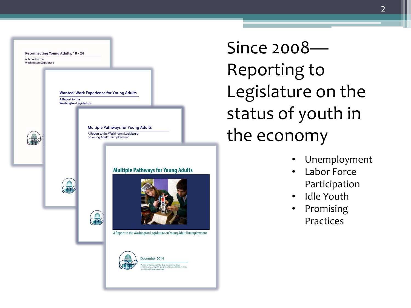

Since 2008— Reporting to Legislature on the status of youth in the economy

• Unemployment

2

- Labor Force Participation
- Idle Youth
- Promising **Practices**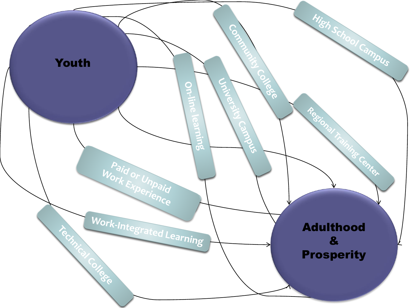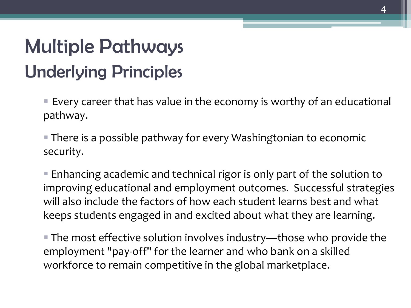# Multiple Pathways Underlying Principles

 Every career that has value in the economy is worthy of an educational pathway.

 There is a possible pathway for every Washingtonian to economic security.

 Enhancing academic and technical rigor is only part of the solution to improving educational and employment outcomes. Successful strategies will also include the factors of how each student learns best and what keeps students engaged in and excited about what they are learning.

 The most effective solution involves industry—those who provide the employment "pay-off" for the learner and who bank on a skilled workforce to remain competitive in the global marketplace.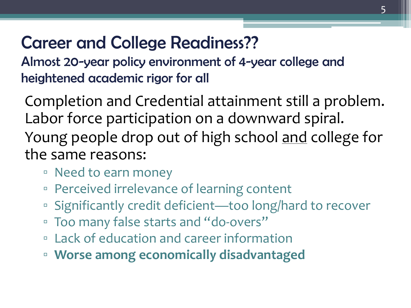#### Career and College Readiness??

Almost 20-year policy environment of 4-year college and heightened academic rigor for all

Completion and Credential attainment still a problem. Labor force participation on a downward spiral. Young people drop out of high school and college for the same reasons:

- Need to earn money
- Perceived irrelevance of learning content
- Significantly credit deficient—too long/hard to recover
- Too many false starts and "do-overs"
- Lack of education and career information
- **Worse among economically disadvantaged**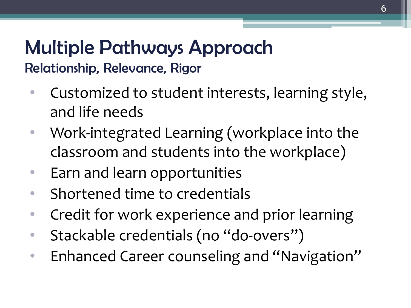#### Multiple Pathways Approach Relationship, Relevance, Rigor

- Customized to student interests, learning style, and life needs
- Work-integrated Learning (workplace into the classroom and students into the workplace)
- Earn and learn opportunities
- Shortened time to credentials
- Credit for work experience and prior learning
- Stackable credentials (no "do-overs")
- Enhanced Career counseling and "Navigation"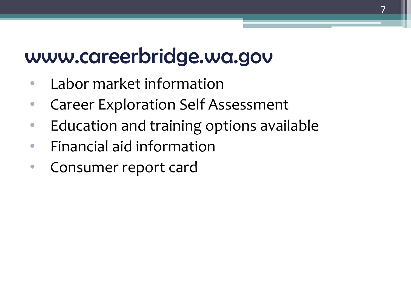### www.careerbridge.wa.gov

- Labor market information
- Career Exploration Self Assessment
- Education and training options available
- Financial aid information
- Consumer report card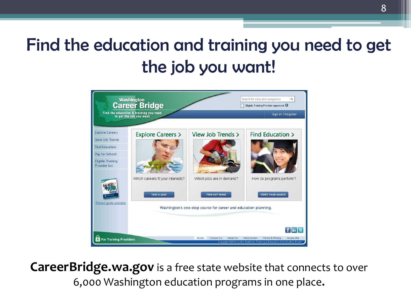#### Find the education and training you need to get the job you want!



**CareerBridge.wa.gov** is a free state website that connects to over 6,000 Washington education programs in one place**.**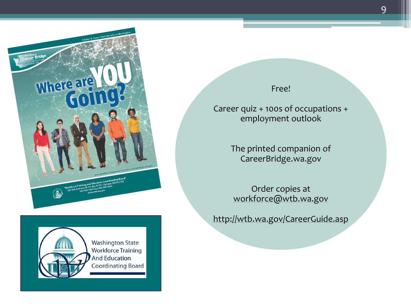



#### Free!

Career quiz + 100s of occupations + employment outlook

> The printed companion of CareerBridge.wa.gov

Order copies at [workforce@wtb.wa.gov](mailto:workforce@wtb.wa.gov)

<http://wtb.wa.gov/CareerGuide.asp>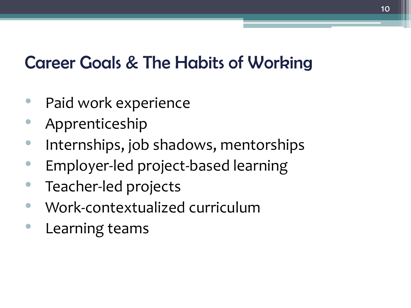#### Career Goals & The Habits of Working

- Paid work experience
- Apprenticeship
- Internships, job shadows, mentorships
- Employer-led project-based learning
- Teacher-led projects
- Work-contextualized curriculum
- Learning teams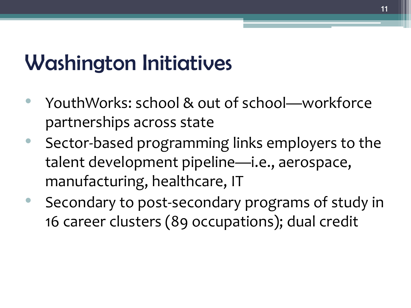# Washington Initiatives

- YouthWorks: school & out of school—workforce partnerships across state
- Sector-based programming links employers to the talent development pipeline—i.e., aerospace, manufacturing, healthcare, IT
- Secondary to post-secondary programs of study in 16 career clusters (89 occupations); dual credit